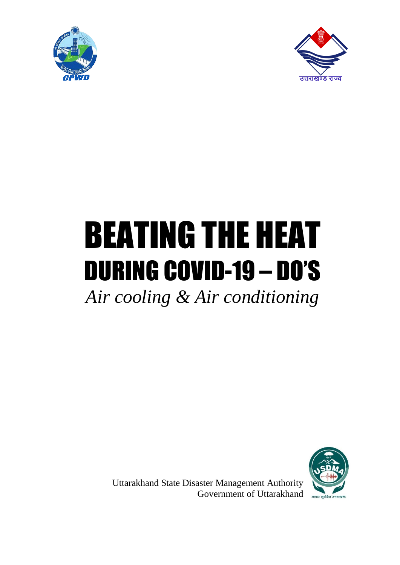



# BEATING THE HEAT DURING COVID-19 – DO'S

*Air cooling & Air conditioning* 



Uttarakhand State Disaster Management Authority Government of Uttarakhand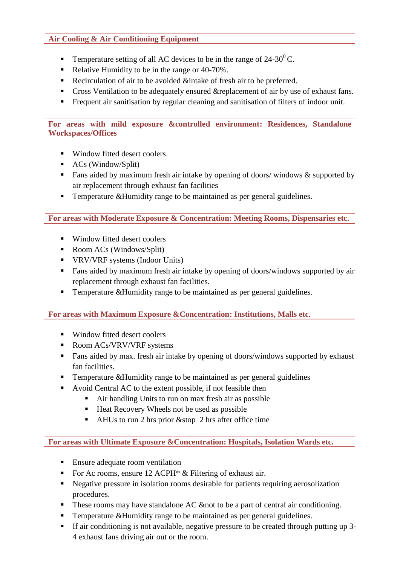#### **Air Cooling & Air Conditioning Equipment**

- Temperature setting of all AC devices to be in the range of  $24-30^{\circ}$ C.
- Relative Humidity to be in the range or 40-70%.
- Recirculation of air to be avoided &intake of fresh air to be preferred.
- Cross Ventilation to be adequately ensured &replacement of air by use of exhaust fans.
- Frequent air sanitisation by regular cleaning and sanitisation of filters of indoor unit.

#### **For areas with mild exposure &controlled environment: Residences, Standalone Workspaces/Offices**

- Window fitted desert coolers.
- $\blacksquare$  ACs (Window/Split)
- **Fans aided by maximum fresh air intake by opening of doors/ windows**  $\&$  **supported by** air replacement through exhaust fan facilities
- **Temperature &Humidity range to be maintained as per general guidelines.**

## **For areas with Moderate Exposure & Concentration: Meeting Rooms, Dispensaries etc.**

- Window fitted desert coolers
- Room ACs (Windows/Split)
- **•** VRV/VRF systems (Indoor Units)
- Fans aided by maximum fresh air intake by opening of doors/windows supported by air replacement through exhaust fan facilities.
- Temperature &Humidity range to be maintained as per general guidelines.

## **For areas with Maximum Exposure &Concentration: Institutions, Malls etc.**

- Window fitted desert coolers
- Room ACs/VRV/VRF systems
- Fans aided by max. fresh air intake by opening of doors/windows supported by exhaust fan facilities.
- **Temperature &Humidity range to be maintained as per general guidelines**
- Avoid Central AC to the extent possible, if not feasible then
	- Air handling Units to run on max fresh air as possible
	- Heat Recovery Wheels not be used as possible
	- $\blacksquare$  AHUs to run 2 hrs prior &stop 2 hrs after office time

**For areas with Ultimate Exposure &Concentration: Hospitals, Isolation Wards etc.**

- **Ensure adequate room ventilation**
- For Ac rooms, ensure  $12$  ACPH\* & Filtering of exhaust air.
- Negative pressure in isolation rooms desirable for patients requiring aerosolization procedures.
- These rooms may have standalone AC & to be a part of central air conditioning.
- **Temperature &Humidity range to be maintained as per general guidelines.**
- If air conditioning is not available, negative pressure to be created through putting up 3- 4 exhaust fans driving air out or the room.